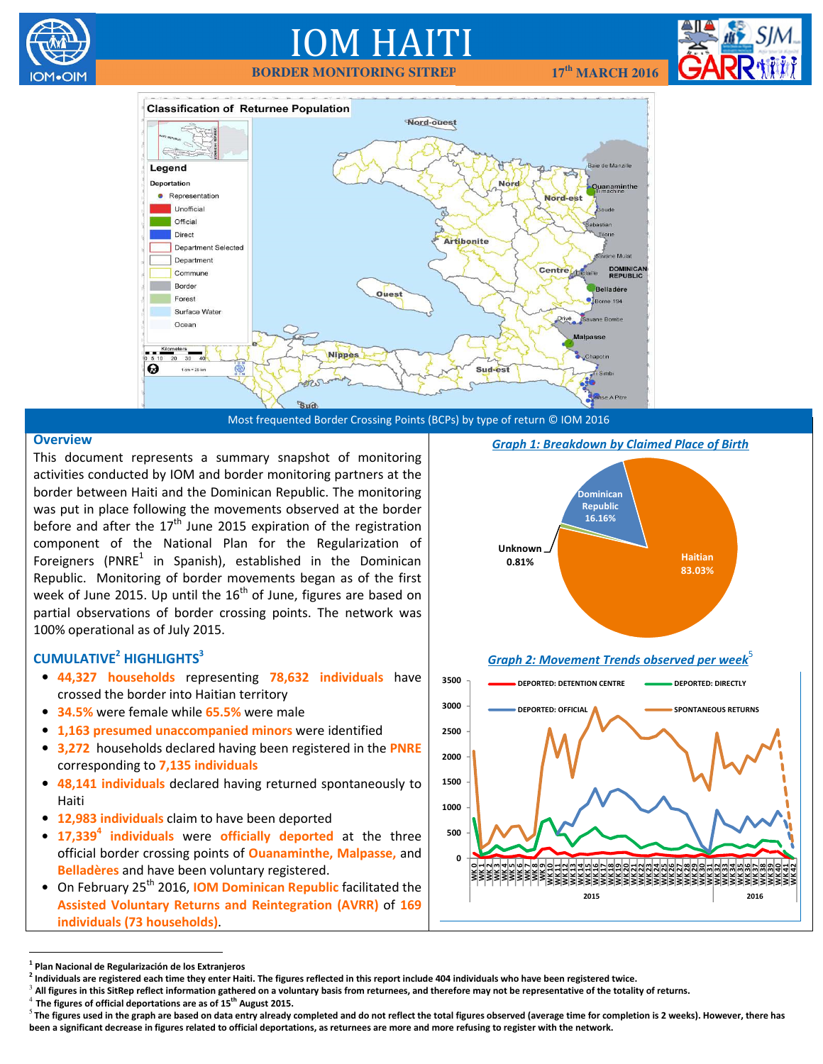

# IOM HAITI

 **BORDER MONITORING SITREP 17th MARCH 2016** 





## **Overview**

This document represents a summary snapshot of monitoring activities conducted by IOM and border monitoring partners at the border between Haiti and the Dominican Republic. The monitoring was put in place following the movements observed at the border before and after the  $17<sup>th</sup>$  June 2015 expiration of the registration component of the National Plan for the Regularization of Foreigners (PNRE $1$  in Spanish), established in the Dominican Republic. Monitoring of border movements began as of the first week of June 2015. Up until the  $16<sup>th</sup>$  of June, figures are based on partial observations of border crossing points. The network was 100% operational as of July 2015.

## $CUMULATIVE<sup>2</sup> HIGHLIGHTS<sup>3</sup>$

- 44,327 households representing 78,632 individuals have crossed the border into Haitian territory
- 34.5% were female while 65.5% were male
- 1,163 presumed unaccompanied minors were identified
- 3,272 households declared having been registered in the PNRE corresponding to 7,135 individuals
- 48,141 individuals declared having returned spontaneously to Haiti
- 12,983 individuals claim to have been deported
- $\bullet$  17,339<sup>4</sup> individuals were officially deported at the three official border crossing points of **Ouanaminthe, Malpasse**, and Belladères and have been voluntary registered.
- On February 25<sup>th</sup> 2016, IOM Dominican Republic facilitated the Assisted Voluntary Returns and Reintegration (AVRR) of 169 individuals (73 households).





Graph 2: Movement Trends observed per week $5$ 



 $\overline{a}$ 

 $3$  All figures in this SitRep reflect information gathered on a voluntary basis from returnees, and therefore may not be representative of the totality of returns.<br>4 The figures of effects denoted incompany of 4Fill Augu

<sup>&</sup>lt;sup>1</sup> Plan Nacional de Regularización de los Extranjeros

<sup>&</sup>lt;sup>2</sup> Individuals are registered each time they enter Haiti. The figures reflected in this report include 404 individuals who have been registered twice.

The figures of official deportations are as of 15<sup>th</sup> August 2015.

 $5$  The figures used in the graph are based on data entry already completed and do not reflect the total figures observed (average time for completion is 2 weeks). However, there has been a significant decrease in figures related to official deportations, as returnees are more and more refusing to register with the network.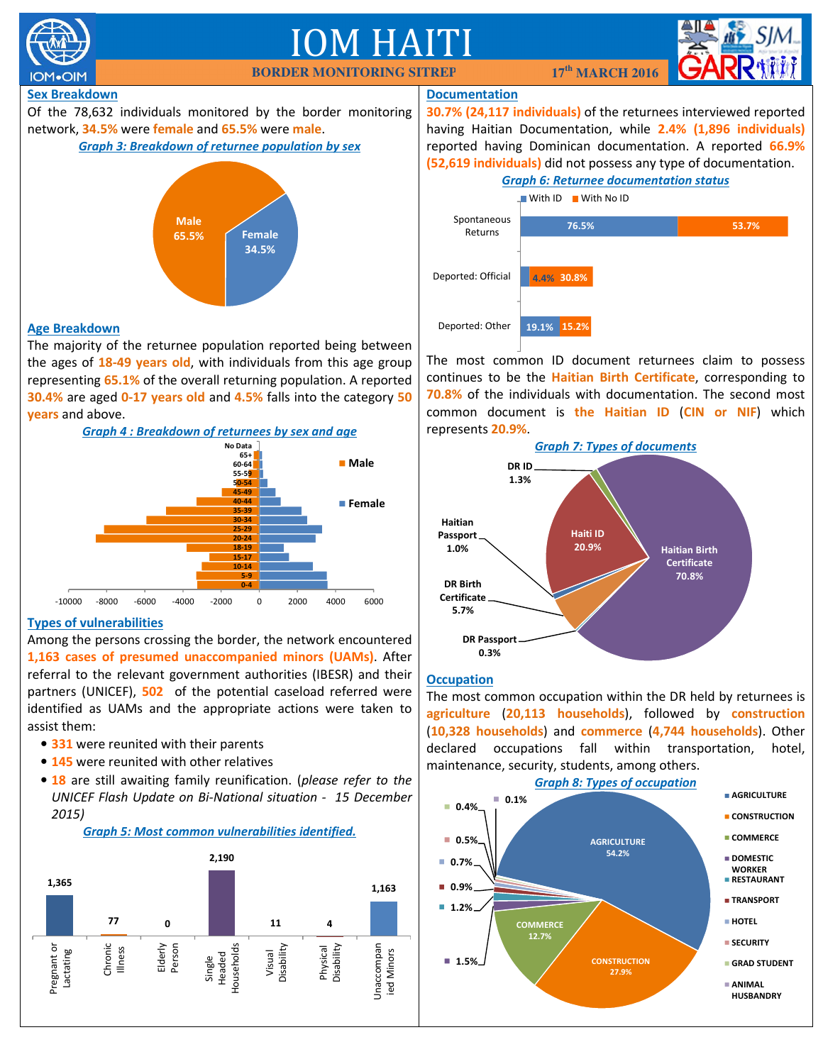

## M HA



## Sex Breakdown

Of the 78,632 individuals monitored by the border monitoring network, 34.5% were female and 65.5% were male.





## Age Breakdown

The majority of the returnee population reported being between the ages of 18-49 years old, with individuals from this age group representing 65.1% of the overall returning population. A reported 30.4% are aged 0-17 years old and 4.5% falls into the category 50 years and above.



## Types of vulnerabilities

Among the persons crossing the border, the network encountered 1,163 cases of presumed unaccompanied minors (UAMs). After referral to the relevant government authorities (IBESR) and their partners (UNICEF), 502 of the potential caseload referred were identified as UAMs and the appropriate actions were taken to assist them:

- 331 were reunited with their parents
- 145 were reunited with other relatives
- 18 are still awaiting family reunification. (please refer to the UNICEF Flash Update on Bi-National situation - 15 December 2015)



## Documentation

30.7% (24,117 individuals) of the returnees interviewed reported having Haitian Documentation, while 2.4% (1,896 individuals) reported having Dominican documentation. A reported 66.9% (52,619 individuals) did not possess any type of documentation.

## Graph 6: Returnee documentation status



The most common ID document returnees claim to possess continues to be the Haitian Birth Certificate, corresponding to 70.8% of the individuals with documentation. The second most common document is the Haitian ID (CIN or NIF) which represents 20.9%.



## **Occupation**

The most common occupation within the DR held by returnees is agriculture (20,113 households), followed by construction (10,328 households) and commerce (4,744 households). Other declared occupations fall within transportation, hotel, maintenance, security, students, among others.



Graph 5: Most common vulnerabilities identified.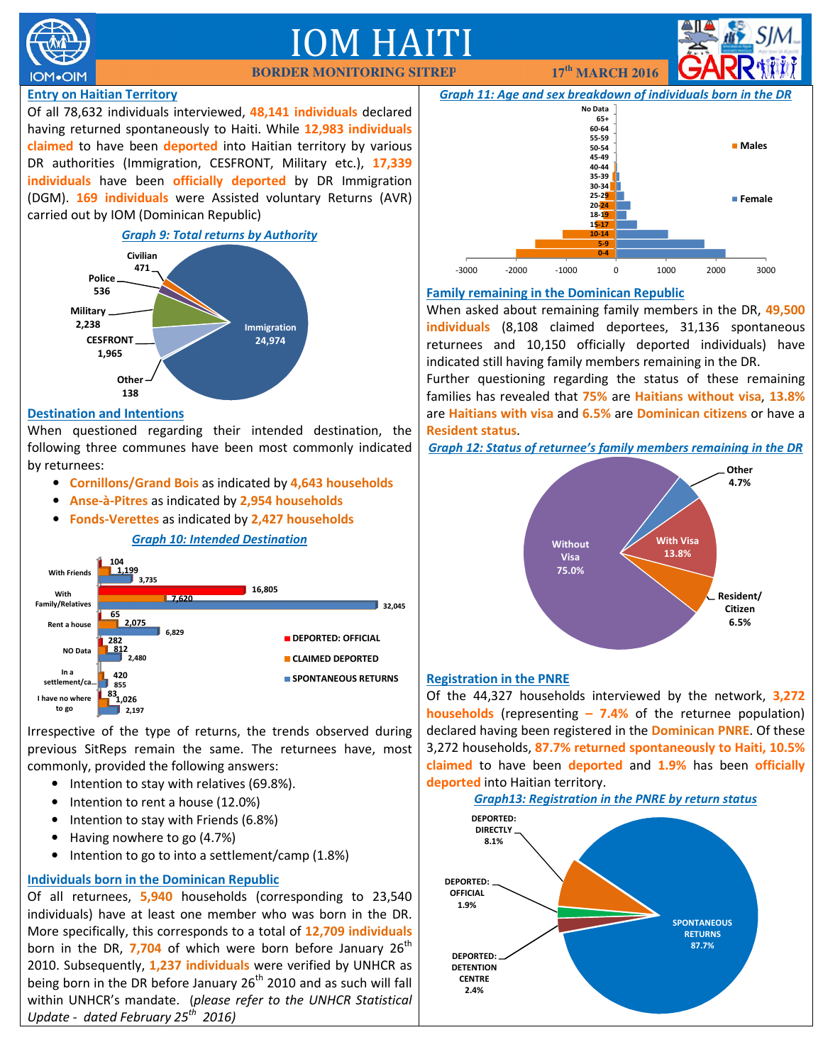

## IM HAITI

## Entry on Haitian Territory

Of all 78,632 individuals interviewed, 48,141 individuals declared having returned spontaneously to Haiti. While 12,983 individuals claimed to have been deported into Haitian territory by various DR authorities (Immigration, CESFRONT, Military etc.), 17,339 individuals have been officially deported by DR Immigration (DGM). 169 individuals were Assisted voluntary Returns (AVR) carried out by IOM (Dominican Republic)



## Destination and Intentions

When questioned regarding their intended destination, the following three communes have been most commonly indicated by returnees:

- Cornillons/Grand Bois as indicated by 4,643 households
- Anse-à-Pitres as indicated by 2,954 households
- Fonds-Verettes as indicated by 2,427 households

## Graph 10: Intended Destination



Irrespective of the type of returns, the trends observed during previous SitReps remain the same. The returnees have, most commonly, provided the following answers:

- Intention to stay with relatives (69.8%).
- Intention to rent a house (12.0%)
- Intention to stay with Friends (6.8%)
- Having nowhere to go (4.7%)
- Intention to go to into a settlement/camp (1.8%)

## Individuals born in the Dominican Republic

Of all returnees, 5,940 households (corresponding to 23,540 individuals) have at least one member who was born in the DR. More specifically, this corresponds to a total of 12,709 individuals born in the DR, 7,704 of which were born before January  $26<sup>th</sup>$ 2010. Subsequently, 1,237 individuals were verified by UNHCR as being born in the DR before January  $26<sup>th</sup>$  2010 and as such will fall within UNHCR's mandate. (please refer to the UNHCR Statistical Update - dated February 25<sup>th</sup> 2016)



 **BORDER MONITORING SITREP 17th MARCH 2016** 

## Family remaining in the Dominican Republic

When asked about remaining family members in the DR, 49,500 individuals (8,108 claimed deportees, 31,136 spontaneous returnees and 10,150 officially deported individuals) have indicated still having family members remaining in the DR.

Further questioning regarding the status of these remaining families has revealed that 75% are Haitians without visa, 13.8% are Haitians with visa and 6.5% are Dominican citizens or have a Resident status.

Graph 12: Status of returnee's family members remaining in the DR



## Registration in the PNRE

Of the 44,327 households interviewed by the network, 3,272 **households** (representing  $-7.4%$  of the returnee population) declared having been registered in the **Dominican PNRE**. Of these 3,272 households, 87.7% returned spontaneously to Haiti, 10.5% claimed to have been deported and 1.9% has been officially deported into Haitian territory.

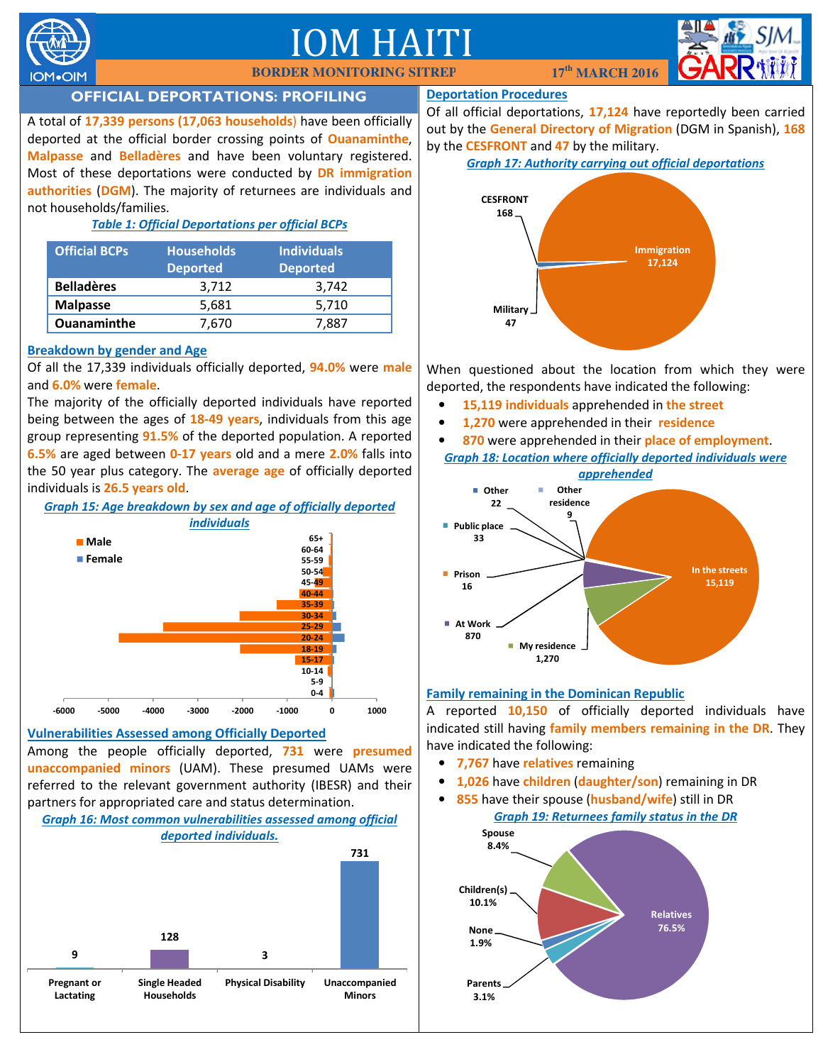

## **IOM HAIT**



## OFFICIAL DEPORTATIONS: PROFILING

A total of 17,339 persons (17,063 households) have been officially deported at the official border crossing points of **Ouanaminthe**, Malpasse and Belladères and have been voluntary registered. Most of these deportations were conducted by **DR immigration** authorities (DGM). The majority of returnees are individuals and not households/families.

## Table 1: Official Deportations per official BCPs

| <b>Official BCPs</b> | <b>Households</b><br><b>Deported</b> | <b>Individuals</b><br><b>Deported</b> |
|----------------------|--------------------------------------|---------------------------------------|
| <b>Belladères</b>    | 3,712                                | 3,742                                 |
| <b>Malpasse</b>      | 5,681                                | 5,710                                 |
| <b>Ouanaminthe</b>   | 7,670                                | 7.887                                 |

## Breakdown by gender and Age

Of all the 17,339 individuals officially deported, 94.0% were male and 6.0% were female.

The majority of the officially deported individuals have reported being between the ages of  $18-49$  years, individuals from this age group representing 91.5% of the deported population. A reported 6.5% are aged between 0-17 years old and a mere 2.0% falls into the 50 year plus category. The average age of officially deported individuals is 26.5 years old.



## Vulnerabilities Assessed among Officially Deported

Among the people officially deported, 731 were presumed unaccompanied minors (UAM). These presumed UAMs were referred to the relevant government authority (IBESR) and their partners for appropriated care and status determination.

#### Graph 16: Most common vulnerabilities assessed among official deported individuals.



## Deportation Procedures

Of all official deportations, 17,124 have reportedly been carried out by the General Directory of Migration (DGM in Spanish), 168 by the **CESFRONT** and 47 by the military.

## Graph 17: Authority carrying out official deportations



When questioned about the location from which they were deported, the respondents have indicated the following:

- 15,119 individuals apprehended in the street
- 1,270 were apprehended in their residence
- 870 were apprehended in their place of employment. Graph 18: Location where officially deported individuals were



## Family remaining in the Dominican Republic

A reported 10,150 of officially deported individuals have indicated still having family members remaining in the DR. They have indicated the following:

- 7,767 have relatives remaining
- 1,026 have children (daughter/son) remaining in DR
- 855 have their spouse (husband/wife) still in DR Graph 19: Returnees family status in the DR